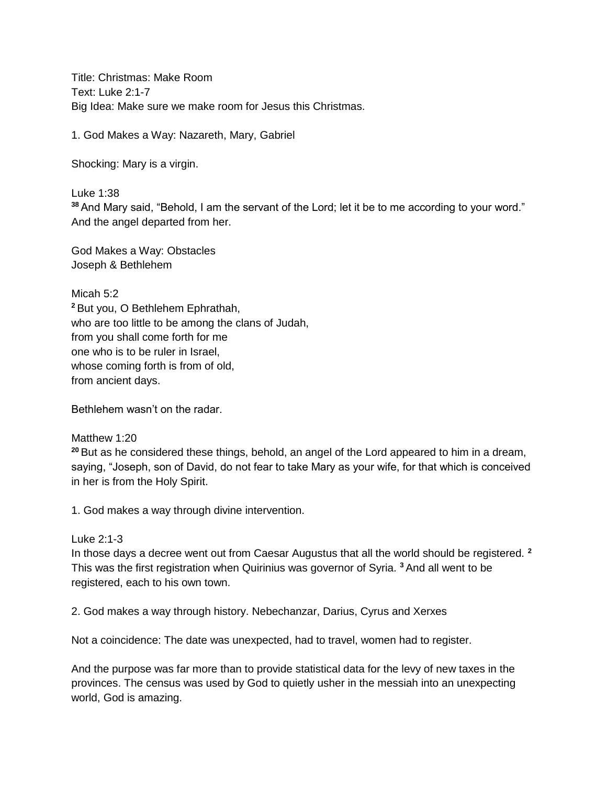Title: Christmas: Make Room Text: Luke 2:1-7 Big Idea: Make sure we make room for Jesus this Christmas.

1. God Makes a Way: Nazareth, Mary, Gabriel

Shocking: Mary is a virgin.

Luke 1:38

**<sup>38</sup>**And Mary said, "Behold, I am the servant of the Lord; let it be to me according to your word." And the angel departed from her.

God Makes a Way: Obstacles Joseph & Bethlehem

Micah 5:2 **<sup>2</sup>**But you, O Bethlehem Ephrathah, who are too little to be among the clans of Judah, from you shall come forth for me one who is to be ruler in Israel, whose coming forth is from of old, from ancient days.

Bethlehem wasn't on the radar.

## Matthew 1:20

**<sup>20</sup>**But as he considered these things, behold, an angel of the Lord appeared to him in a dream, saying, "Joseph, son of David, do not fear to take Mary as your wife, for that which is conceived in her is from the Holy Spirit.

1. God makes a way through divine intervention.

## Luke 2:1-3

In those days a decree went out from Caesar Augustus that all the world should be registered. **<sup>2</sup>** This was the first registration when Quirinius was governor of Syria. **<sup>3</sup>**And all went to be registered, each to his own town.

2. God makes a way through history. Nebechanzar, Darius, Cyrus and Xerxes

Not a coincidence: The date was unexpected, had to travel, women had to register.

And the purpose was far more than to provide statistical data for the levy of new taxes in the provinces. The census was used by God to quietly usher in the messiah into an unexpecting world, God is amazing.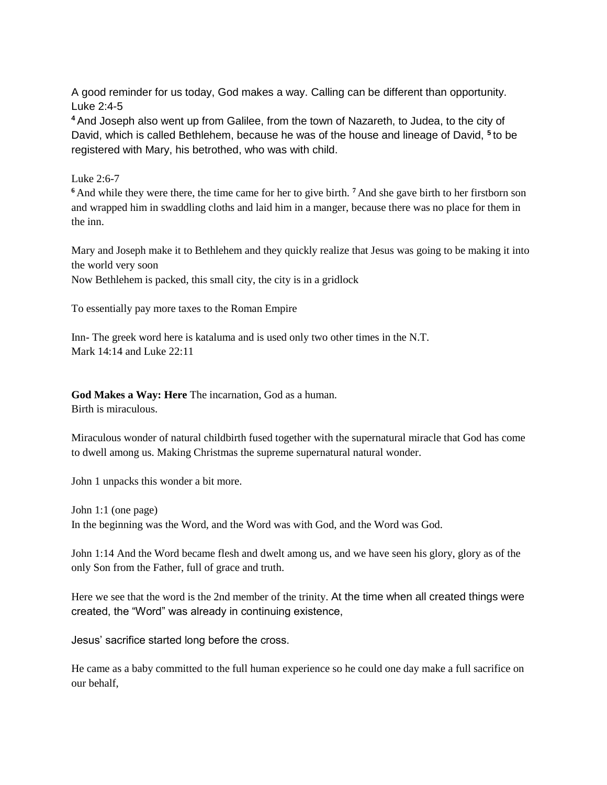A good reminder for us today, God makes a way. Calling can be different than opportunity. Luke 2:4-5

**<sup>4</sup>**And Joseph also went up from Galilee, from the town of Nazareth, to Judea, to the city of David, which is called Bethlehem, because he was of the house and lineage of David, **<sup>5</sup>**to be registered with Mary, his betrothed, who was with child.

Luke 2:6-7

**<sup>6</sup>**And while they were there, the time came for her to give birth. **<sup>7</sup>**And she gave birth to her firstborn son and wrapped him in swaddling cloths and laid him in a manger, because there was no place for them in the inn.

Mary and Joseph make it to Bethlehem and they quickly realize that Jesus was going to be making it into the world very soon

Now Bethlehem is packed, this small city, the city is in a gridlock

To essentially pay more taxes to the Roman Empire

Inn- The greek word here is kataluma and is used only two other times in the N.T. Mark 14:14 and Luke 22:11

**God Makes a Way: Here** The incarnation, God as a human.

Birth is miraculous.

Miraculous wonder of natural childbirth fused together with the supernatural miracle that God has come to dwell among us. Making Christmas the supreme supernatural natural wonder.

John 1 unpacks this wonder a bit more.

John 1:1 (one page) In the beginning was the Word, and the Word was with God, and the Word was God.

John 1:14 And the Word became flesh and dwelt among us, and we have seen his glory, glory as of the only Son from the Father, full of grace and truth.

Here we see that the word is the 2nd member of the trinity. At the time when all created things were created, the "Word" was already in continuing existence,

Jesus' sacrifice started long before the cross.

He came as a baby committed to the full human experience so he could one day make a full sacrifice on our behalf,